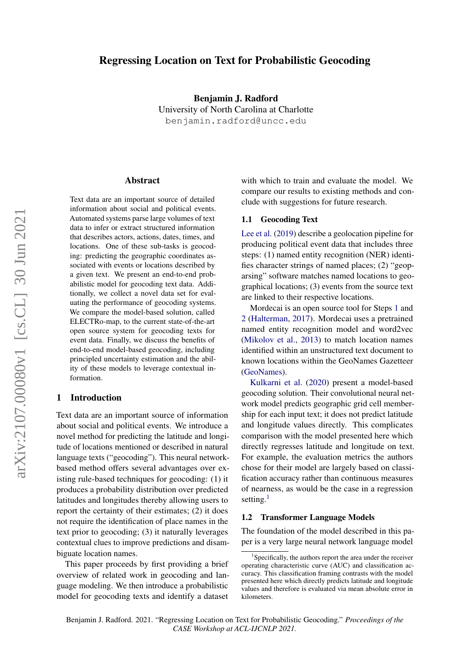# Regressing Location on Text for Probabilistic Geocoding

Benjamin J. Radford University of North Carolina at Charlotte benjamin.radford@uncc.edu

### Abstract

Text data are an important source of detailed information about social and political events. Automated systems parse large volumes of text data to infer or extract structured information that describes actors, actions, dates, times, and locations. One of these sub-tasks is geocoding: predicting the geographic coordinates associated with events or locations described by a given text. We present an end-to-end probabilistic model for geocoding text data. Additionally, we collect a novel data set for evaluating the performance of geocoding systems. We compare the model-based solution, called ELECTRo-map, to the current state-of-the-art open source system for geocoding texts for event data. Finally, we discuss the benefits of end-to-end model-based geocoding, including principled uncertainty estimation and the ability of these models to leverage contextual information.

## 1 Introduction

Text data are an important source of information about social and political events. We introduce a novel method for predicting the latitude and longitude of locations mentioned or described in natural language texts ("geocoding"). This neural networkbased method offers several advantages over existing rule-based techniques for geocoding: (1) it produces a probability distribution over predicted latitudes and longitudes thereby allowing users to report the certainty of their estimates; (2) it does not require the identification of place names in the text prior to geocoding; (3) it naturally leverages contextual clues to improve predictions and disambiguate location names.

This paper proceeds by first providing a brief overview of related work in geocoding and language modeling. We then introduce a probabilistic model for geocoding texts and identify a dataset with which to train and evaluate the model. We compare our results to existing methods and conclude with suggestions for future research.

#### <span id="page-0-4"></span>1.1 Geocoding Text

<span id="page-0-1"></span><span id="page-0-0"></span>[Lee et al.](#page-4-0) [\(2019\)](#page-4-0) describe a geolocation pipeline for producing political event data that includes three steps: (1) named entity recognition (NER) identifies character strings of named places; (2) "geoparsing" software matches named locations to geographical locations; (3) events from the source text are linked to their respective locations.

<span id="page-0-3"></span>Mordecai is an open source tool for Steps [1](#page-0-0) and [2](#page-0-1) [\(Halterman,](#page-4-1) [2017\)](#page-4-1). Mordecai uses a pretrained named entity recognition model and word2vec [\(Mikolov et al.,](#page-4-2) [2013\)](#page-4-2) to match location names identified within an unstructured text document to known locations within the GeoNames Gazetteer [\(GeoNames\)](#page-4-3).

[Kulkarni et al.](#page-4-4) [\(2020\)](#page-4-4) present a model-based geocoding solution. Their convolutional neural network model predicts geographic grid cell membership for each input text; it does not predict latitude and longitude values directly. This complicates comparison with the model presented here which directly regresses latitude and longitude on text. For example, the evaluation metrics the authors chose for their model are largely based on classification accuracy rather than continuous measures of nearness, as would be the case in a regression setting. $<sup>1</sup>$  $<sup>1</sup>$  $<sup>1</sup>$ </sup>

#### 1.2 Transformer Language Models

The foundation of the model described in this paper is a very large neural network language model

<span id="page-0-2"></span><sup>&</sup>lt;sup>1</sup>Specifically, the authors report the area under the receiver operating characteristic curve (AUC) and classification accuracy. This classification framing contrasts with the model presented here which directly predicts latitude and longitude values and therefore is evaluated via mean absolute error in kilometers.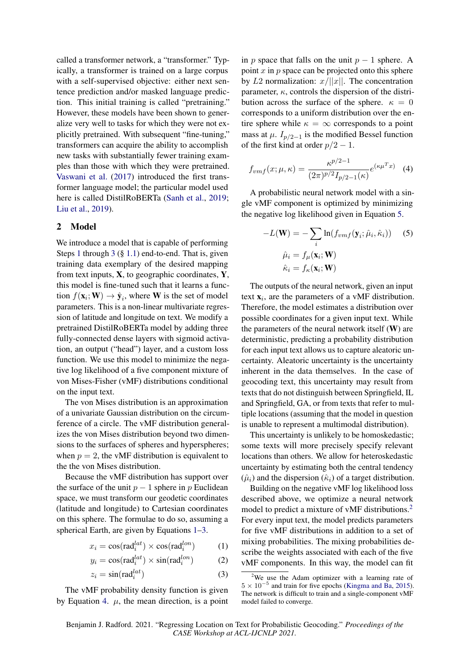called a transformer network, a "transformer." Typically, a transformer is trained on a large corpus with a self-supervised objective: either next sentence prediction and/or masked language prediction. This initial training is called "pretraining." However, these models have been shown to generalize very well to tasks for which they were not explicitly pretrained. With subsequent "fine-tuning," transformers can acquire the ability to accomplish new tasks with substantially fewer training examples than those with which they were pretrained. [Vaswani et al.](#page-4-5) [\(2017\)](#page-4-5) introduced the first transformer language model; the particular model used here is called DistilRoBERTa [\(Sanh et al.,](#page-4-6) [2019;](#page-4-6) [Liu et al.,](#page-4-7) [2019\)](#page-4-7).

## 2 Model

We introduce a model that is capable of performing Steps [1](#page-0-0) through  $3$  (§ [1.1\)](#page-0-4) end-to-end. That is, given training data exemplary of the desired mapping from text inputs,  $X$ , to geographic coordinates,  $Y$ , this model is fine-tuned such that it learns a function  $f(\mathbf{x}_i; \mathbf{W}) \to \hat{\mathbf{y}}_i$ , where **W** is the set of model parameters. This is a non-linear multivariate regression of latitude and longitude on text. We modify a pretrained DistilRoBERTa model by adding three fully-connected dense layers with sigmoid activation, an output ("head") layer, and a custom loss function. We use this model to minimize the negative log likelihood of a five component mixture of von Mises-Fisher (vMF) distributions conditional on the input text.

The von Mises distribution is an approximation of a univariate Gaussian distribution on the circumference of a circle. The vMF distribution generalizes the von Mises distribution beyond two dimensions to the surfaces of spheres and hyperspheres; when  $p = 2$ , the vMF distribution is equivalent to the the von Mises distribution.

Because the vMF distribution has support over the surface of the unit  $p - 1$  sphere in p Euclidean space, we must transform our geodetic coordinates (latitude and longitude) to Cartesian coordinates on this sphere. The formulae to do so, assuming a spherical Earth, are given by Equations [1–](#page-1-0)[3.](#page-1-1)

$$
x_i = \cos(\text{rad}_i^{lat}) \times \cos(\text{rad}_i^{lon}) \tag{1}
$$

$$
y_i = \cos(\text{rad}_i^{lat}) \times \sin(\text{rad}_i^{lon}) \tag{2}
$$

$$
z_i = \sin(\text{rad}_i^{lat})\tag{3}
$$

The vMF probability density function is given by Equation [4.](#page-1-2)  $\mu$ , the mean direction, is a point

in p space that falls on the unit  $p - 1$  sphere. A point  $x$  in  $p$  space can be projected onto this sphere by L2 normalization:  $x/||x||$ . The concentration parameter,  $\kappa$ , controls the dispersion of the distribution across the surface of the sphere.  $\kappa = 0$ corresponds to a uniform distribution over the entire sphere while  $\kappa = \infty$  corresponds to a point mass at  $\mu$ .  $I_{p/2-1}$  is the modified Bessel function of the first kind at order  $p/2 - 1$ .

<span id="page-1-2"></span>
$$
f_{vmf}(x; \mu, \kappa) = \frac{\kappa^{p/2 - 1}}{(2\pi)^{p/2} I_{p/2 - 1}(\kappa)} e^{(\kappa \mu^T x)} \quad (4)
$$

A probabilistic neural network model with a single vMF component is optimized by minimizing the negative log likelihood given in Equation [5.](#page-1-3)

<span id="page-1-3"></span>
$$
-L(\mathbf{W}) = -\sum_{i} \ln(f_{vmf}(\mathbf{y}_i; \hat{\mu}_i, \hat{\kappa}_i))
$$
 (5)  

$$
\hat{\mu}_i = f_{\mu}(\mathbf{x}_i; \mathbf{W})
$$
  

$$
\hat{\kappa}_i = f_{\kappa}(\mathbf{x}_i; \mathbf{W})
$$

The outputs of the neural network, given an input text  $x_i$ , are the parameters of a vMF distribution. Therefore, the model estimates a distribution over possible coordinates for a given input text. While the parameters of the neural network itself  $(W)$  are deterministic, predicting a probability distribution for each input text allows us to capture aleatoric uncertainty. Aleatoric uncertainty is the uncertainty inherent in the data themselves. In the case of geocoding text, this uncertainty may result from texts that do not distinguish between Springfield, IL and Springfield, GA, or from texts that refer to multiple locations (assuming that the model in question is unable to represent a multimodal distribution).

This uncertainty is unlikely to be homoskedastic; some texts will more precisely specify relevant locations than others. We allow for heteroskedastic uncertainty by estimating both the central tendency  $(\hat{\mu}_i)$  and the dispersion  $(\hat{\kappa}_i)$  of a target distribution.

Building on the negative vMF log likelihood loss described above, we optimize a neural network model to predict a mixture of vMF distributions.<sup>[2](#page-1-4)</sup> For every input text, the model predicts parameters for five vMF distributions in addition to a set of mixing probabilities. The mixing probabilities describe the weights associated with each of the five vMF components. In this way, the model can fit

<span id="page-1-4"></span><span id="page-1-1"></span><span id="page-1-0"></span><sup>2</sup>We use the Adam optimizer with a learning rate of  $5 \times 10^{-5}$  and train for five epochs [\(Kingma and Ba,](#page-4-8) [2015\)](#page-4-8). The network is difficult to train and a single-component vMF model failed to converge.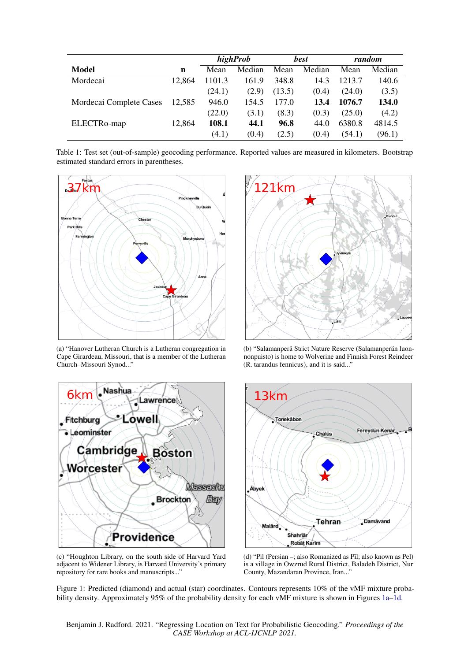<span id="page-2-1"></span>

|                         |        | highProb |        | <b>best</b> |        | random |        |
|-------------------------|--------|----------|--------|-------------|--------|--------|--------|
| <b>Model</b>            | n      | Mean     | Median | Mean        | Median | Mean   | Median |
| Mordecai                | 12,864 | 1101.3   | 161.9  | 348.8       | 14.3   | 1213.7 | 140.6  |
|                         |        | (24.1)   | (2.9)  | (13.5)      | (0.4)  | (24.0) | (3.5)  |
| Mordecai Complete Cases | 12,585 | 946.0    | 154.5  | 177.0       | 13.4   | 1076.7 | 134.0  |
|                         |        | (22.0)   | (3.1)  | (8.3)       | (0.3)  | (25.0) | (4.2)  |
| ELECTRo-map             | 12,864 | 108.1    | 44.1   | 96.8        | 44.0   | 6380.8 | 4814.5 |
|                         |        | (4.1)    | (0.4)  | (2.5)       | (0.4)  | (54.1) | (96.1) |

Table 1: Test set (out-of-sample) geocoding performance. Reported values are measured in kilometers. Bootstrap estimated standard errors in parentheses.

<span id="page-2-0"></span>

(a) "Hanover Lutheran Church is a Lutheran congregation in Cape Girardeau, Missouri, that is a member of the Lutheran Church-Missouri Synod..."





(b) "Salamanperä Strict Nature Reserve (Salamanperän luonnonpuisto) is home to Wolverine and Finnish Forest Reindeer (R. tarandus fennicus), and it is said..."



(c) "Houghton Library, on the south side of Harvard Yard adjacent to Widener Library, is Harvard University's primary repository for rare books and manuscripts..."

(d) "Pil (Persian –; also Romanized as Pīl; also known as Pel) is a village in Owzrud Rural District, Baladeh District, Nur County, Mazandaran Province, Iran...'

Figure 1: Predicted (diamond) and actual (star) coordinates. Contours represents 10% of the vMF mixture probability density. Approximately 95% of the probability density for each vMF mixture is shown in Figures [1a–1d.](#page-2-0)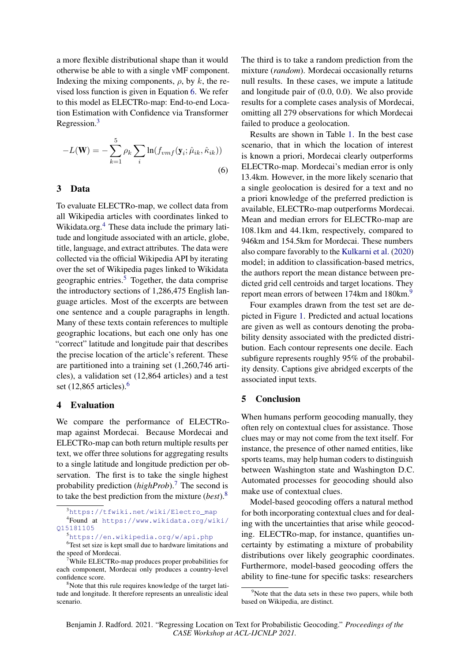a more flexible distributional shape than it would otherwise be able to with a single vMF component. Indexing the mixing components,  $\rho$ , by k, the revised loss function is given in Equation [6.](#page-3-0) We refer to this model as ELECTRo-map: End-to-end Location Estimation with Confidence via Transformer Regression.[3](#page-3-1)

$$
-L(\mathbf{W}) = -\sum_{k=1}^{5} \rho_k \sum_{i} \ln(f_{vmf}(\mathbf{y}_i; \hat{\mu}_{ik}, \hat{\kappa}_{ik}))
$$
\n(6)

# 3 Data

To evaluate ELECTRo-map, we collect data from all Wikipedia articles with coordinates linked to Wikidata.org.<sup>[4](#page-3-2)</sup> These data include the primary latitude and longitude associated with an article, globe, title, language, and extract attributes. The data were collected via the official Wikipedia API by iterating over the set of Wikipedia pages linked to Wikidata geographic entries. $5$  Together, the data comprise the introductory sections of 1,286,475 English language articles. Most of the excerpts are between one sentence and a couple paragraphs in length. Many of these texts contain references to multiple geographic locations, but each one only has one "correct" latitude and longitude pair that describes the precise location of the article's referent. These are partitioned into a training set (1,260,746 articles), a validation set (12,864 articles) and a test set  $(12,865$  $(12,865$  $(12,865$  articles).<sup>6</sup>

## 4 Evaluation

We compare the performance of ELECTRomap against Mordecai. Because Mordecai and ELECTRo-map can both return multiple results per text, we offer three solutions for aggregating results to a single latitude and longitude prediction per observation. The first is to take the single highest probability prediction (*highProb*).[7](#page-3-5) The second is to take the best prediction from the mixture (*best*).[8](#page-3-6)

The third is to take a random prediction from the mixture (*random*). Mordecai occasionally returns null results. In these cases, we impute a latitude and longitude pair of (0.0, 0.0). We also provide results for a complete cases analysis of Mordecai, omitting all 279 observations for which Mordecai failed to produce a geolocation.

<span id="page-3-0"></span>Results are shown in Table [1.](#page-2-1) In the best case scenario, that in which the location of interest is known a priori, Mordecai clearly outperforms ELECTRo-map. Mordecai's median error is only 13.4km. However, in the more likely scenario that a single geolocation is desired for a text and no a priori knowledge of the preferred prediction is available, ELECTRo-map outperforms Mordecai. Mean and median errors for ELECTRo-map are 108.1km and 44.1km, respectively, compared to 946km and 154.5km for Mordecai. These numbers also compare favorably to the [Kulkarni et al.](#page-4-4) [\(2020\)](#page-4-4) model; in addition to classification-based metrics, the authors report the mean distance between predicted grid cell centroids and target locations. They report mean errors of between 174km and 180km.<sup>[9](#page-3-7)</sup>

Four examples drawn from the test set are depicted in Figure [1.](#page-2-0) Predicted and actual locations are given as well as contours denoting the probability density associated with the predicted distribution. Each contour represents one decile. Each subfigure represents roughly 95% of the probability density. Captions give abridged excerpts of the associated input texts.

# 5 Conclusion

When humans perform geocoding manually, they often rely on contextual clues for assistance. Those clues may or may not come from the text itself. For instance, the presence of other named entities, like sports teams, may help human coders to distinguish between Washington state and Washington D.C. Automated processes for geocoding should also make use of contextual clues.

Model-based geocoding offers a natural method for both incorporating contextual clues and for dealing with the uncertainties that arise while geocoding. ELECTRo-map, for instance, quantifies uncertainty by estimating a mixture of probability distributions over likely geographic coordinates. Furthermore, model-based geocoding offers the ability to fine-tune for specific tasks: researchers

<span id="page-3-2"></span><span id="page-3-1"></span><sup>3</sup>[https://tfwiki.net/wiki/Electro\\_map](https://tfwiki.net/wiki/Electro_map) 4 Found at [https://www.wikidata.org/wiki/](https://www.wikidata.org/wiki/Q15181105) [Q15181105](https://www.wikidata.org/wiki/Q15181105)

<span id="page-3-4"></span><span id="page-3-3"></span><sup>5</sup><https://en.wikipedia.org/w/api.php>

<sup>&</sup>lt;sup>6</sup>Test set size is kept small due to hardware limitations and the speed of Mordecai.

<span id="page-3-5"></span><sup>&</sup>lt;sup>7</sup>While ELECTRo-map produces proper probabilities for each component, Mordecai only produces a country-level confidence score.

<span id="page-3-6"></span><sup>&</sup>lt;sup>8</sup>Note that this rule requires knowledge of the target latitude and longitude. It therefore represents an unrealistic ideal scenario.

<span id="page-3-7"></span><sup>&</sup>lt;sup>9</sup>Note that the data sets in these two papers, while both based on Wikipedia, are distinct.